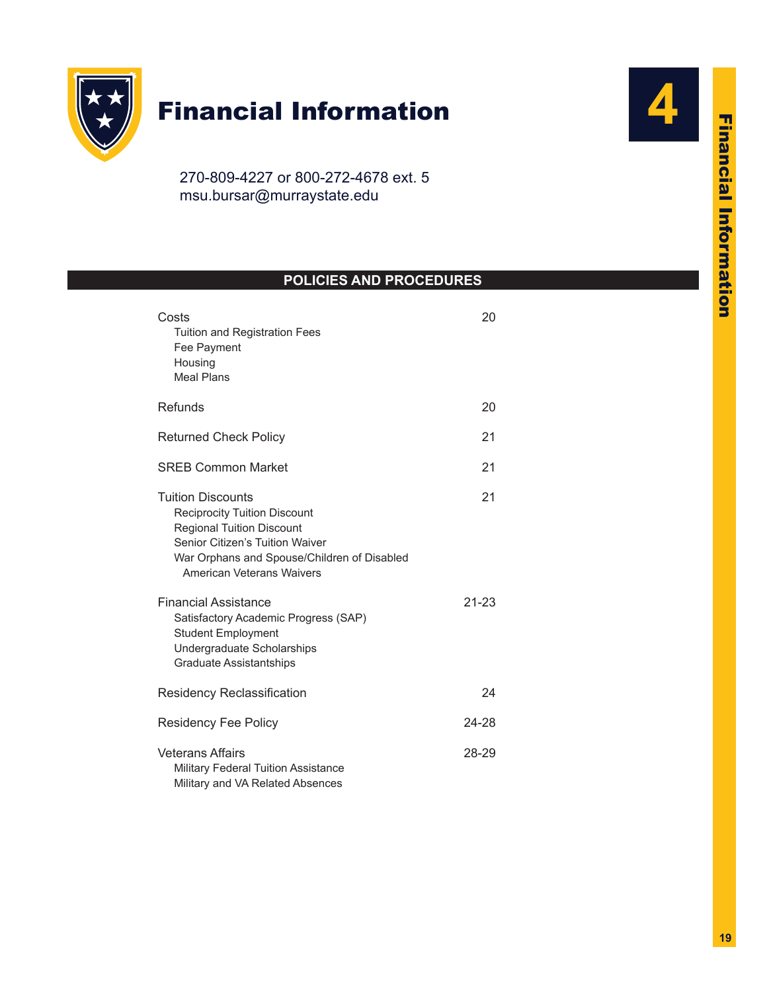

# Financial Information

270-809-4227 or 800-272-4678 ext. 5 msu.bursar@murraystate.edu

## **POLICIES AND PROCEDURES**

| Costs<br>Tuition and Registration Fees<br>Fee Payment<br>Housing<br><b>Meal Plans</b>                                                                                                                                                                                                                                                                                                  | 20              |
|----------------------------------------------------------------------------------------------------------------------------------------------------------------------------------------------------------------------------------------------------------------------------------------------------------------------------------------------------------------------------------------|-----------------|
| Refunds                                                                                                                                                                                                                                                                                                                                                                                | 20              |
| <b>Returned Check Policy</b>                                                                                                                                                                                                                                                                                                                                                           | 21              |
| <b>SREB Common Market</b>                                                                                                                                                                                                                                                                                                                                                              | 21              |
| <b>Tuition Discounts</b><br><b>Reciprocity Tuition Discount</b><br><b>Regional Tuition Discount</b><br>Senior Citizen's Tuition Waiver<br>War Orphans and Spouse/Children of Disabled<br>American Veterans Waivers<br><b>Financial Assistance</b><br>Satisfactory Academic Progress (SAP)<br><b>Student Employment</b><br>Undergraduate Scholarships<br><b>Graduate Assistantships</b> | 21<br>$21 - 23$ |
| <b>Residency Reclassification</b>                                                                                                                                                                                                                                                                                                                                                      | 24              |
| <b>Residency Fee Policy</b>                                                                                                                                                                                                                                                                                                                                                            | 24-28           |
| <b>Veterans Affairs</b><br><b>Military Federal Tuition Assistance</b><br>Military and VA Related Absences                                                                                                                                                                                                                                                                              | 28-29           |

**4**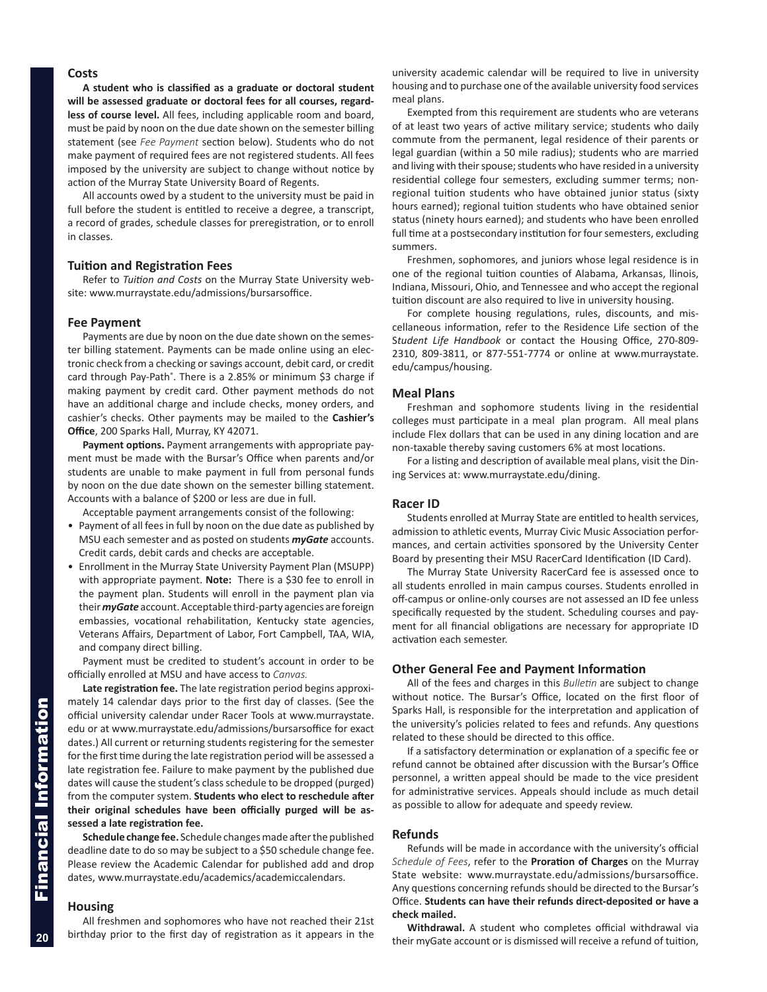## <span id="page-1-0"></span>**Costs**

**A student who is classified as a graduate or doctoral student will be assessed graduate or doctoral fees for all courses, regardless of course level.** All fees, including applicable room and board, must be paid by noon on the due date shown on the semester billing statement (see *Fee Payment* section below). Students who do not make payment of required fees are not registered students. All fees imposed by the university are subject to change without notice by action of the Murray State University Board of Regents.

All accounts owed by a student to the university must be paid in full before the student is entitled to receive a degree, a transcript, a record of grades, schedule classes for preregistration, or to enroll in classes.

#### **Tuition and Registration Fees**

Refer to *Tuition and Costs* on the Murray State University website: www.murraystate.edu/admissions/bursarsoffice.

#### **Fee Payment**

Payments are due by noon on the due date shown on the semester billing statement. Payments can be made online using an electronic check from a checking or savings account, debit card, or credit card through Pay-Path®. There is a 2.85% or minimum \$3 charge if making payment by credit card. Other payment methods do not have an additional charge and include checks, money orders, and cashier's checks. Other payments may be mailed to the **Cashier's Office**, 200 Sparks Hall, Murray, KY 42071.

**Payment options.** Payment arrangements with appropriate payment must be made with the Bursar's Office when parents and/or students are unable to make payment in full from personal funds by noon on the due date shown on the semester billing statement. Accounts with a balance of \$200 or less are due in full.

Acceptable payment arrangements consist of the following:

- Payment of all fees in full by noon on the due date as published by MSU each semester and as posted on students *myGate* accounts. Credit cards, debit cards and checks are acceptable.
- Enrollment in the Murray State University Payment Plan (MSUPP) with appropriate payment. **Note:** There is a \$30 fee to enroll in the payment plan. Students will enroll in the payment plan via their *myGate* account. Acceptable third-party agencies are foreign embassies, vocational rehabilitation, Kentucky state agencies, Veterans Affairs, Department of Labor, Fort Campbell, TAA, WIA, and company direct billing.

Payment must be credited to student's account in order to be officially enrolled at MSU and have access to *Canvas.*

**Late registration fee.** The late registration period begins approximately 14 calendar days prior to the first day of classes. (See the official university calendar under Racer Tools at [www.murraystate.](www. www.murraystate.edu) [ed](www. www.murraystate.edu)u or at<www.murraystate.edu/admissions/bursarsoffice>for exact dates.) All current or returning students registering for the semester for the first time during the late registration period will be assessed a late registration fee. Failure to make payment by the published due dates will cause the student's class schedule to be dropped (purged) from the computer system. **Students who elect to reschedule after their original schedules have been officially purged will be assessed a late registration fee.**

**Schedule change fee.** Schedule changes made after the published deadline date to do so may be subject to a \$50 schedule change fee. Please review the Academic Calendar for published add and drop dates, [www.murraystate.edu/academics/academiccalendar](http://www.murraystate.edu/academics/academiccalendars.aspx)s.

## **Housing**

All freshmen and sophomores who have not reached their 21st birthday prior to the first day of registration as it appears in the

university academic calendar will be required to live in university housing and to purchase one of the available university food services meal plans.

Exempted from this requirement are students who are veterans of at least two years of active military service; students who daily commute from the permanent, legal residence of their parents or legal guardian (within a 50 mile radius); students who are married and living with their spouse; students who have resided in a university residential college four semesters, excluding summer terms; nonregional tuition students who have obtained junior status (sixty hours earned); regional tuition students who have obtained senior status (ninety hours earned); and students who have been enrolled full time at a postsecondary institution for four semesters, excluding summers.

Freshmen, sophomores, and juniors whose legal residence is in one of the regional tuition counties of Alabama, Arkansas, llinois, Indiana, Missouri, Ohio, and Tennessee and who accept the regional tuition discount are also required to live in university housing.

For complete housing regulations, rules, discounts, and miscellaneous information, refer to the Residence Life section of the S*tudent Life Handbook* or contact the Housing Office, 270-809- 2310, 809-3811, or 877-551-7774 or online at [www.murraystate.](www.murraystate.edu/campus/housing) [edu/campus/housing.](www.murraystate.edu/campus/housing)

#### **Meal Plans**

Freshman and sophomore students living in the residential colleges must participate in a meal plan program. All meal plans include Flex dollars that can be used in any dining location and are non-taxable thereby saving customers 6% at most locations.

For a listing and description of available meal plans, visit the Dining Services at: <www.murraystate.edu/dining>.

#### **Racer ID**

Students enrolled at Murray State are entitled to health services, admission to athletic events, Murray Civic Music Association performances, and certain activities sponsored by the University Center Board by presenting their MSU RacerCard Identification (ID Card).

The Murray State University RacerCard fee is assessed once to all students enrolled in main campus courses. Students enrolled in off-campus or online-only courses are not assessed an ID fee unless specifically requested by the student. Scheduling courses and payment for all financial obligations are necessary for appropriate ID activation each semester.

#### **Other General Fee and Payment Information**

All of the fees and charges in this *Bulletin* are subject to change without notice. The Bursar's Office, located on the first floor of Sparks Hall, is responsible for the interpretation and application of the university's policies related to fees and refunds. Any questions related to these should be directed to this office.

If a satisfactory determination or explanation of a specific fee or refund cannot be obtained after discussion with the Bursar's Office personnel, a written appeal should be made to the vice president for administrative services. Appeals should include as much detail as possible to allow for adequate and speedy review.

#### **Refunds**

Refunds will be made in accordance with the university's official *Schedule of Fees*, refer to the **Proration of Charges** on the Murray State website: www.murraystate.edu/admissions/bursarsoffice. Any questions concerning refunds should be directed to the Bursar's Office. **Students can have their refunds direct-deposited or have a check mailed.**

**Withdrawal.** A student who completes official withdrawal via their myGate account or is dismissed will receive a refund of tuition,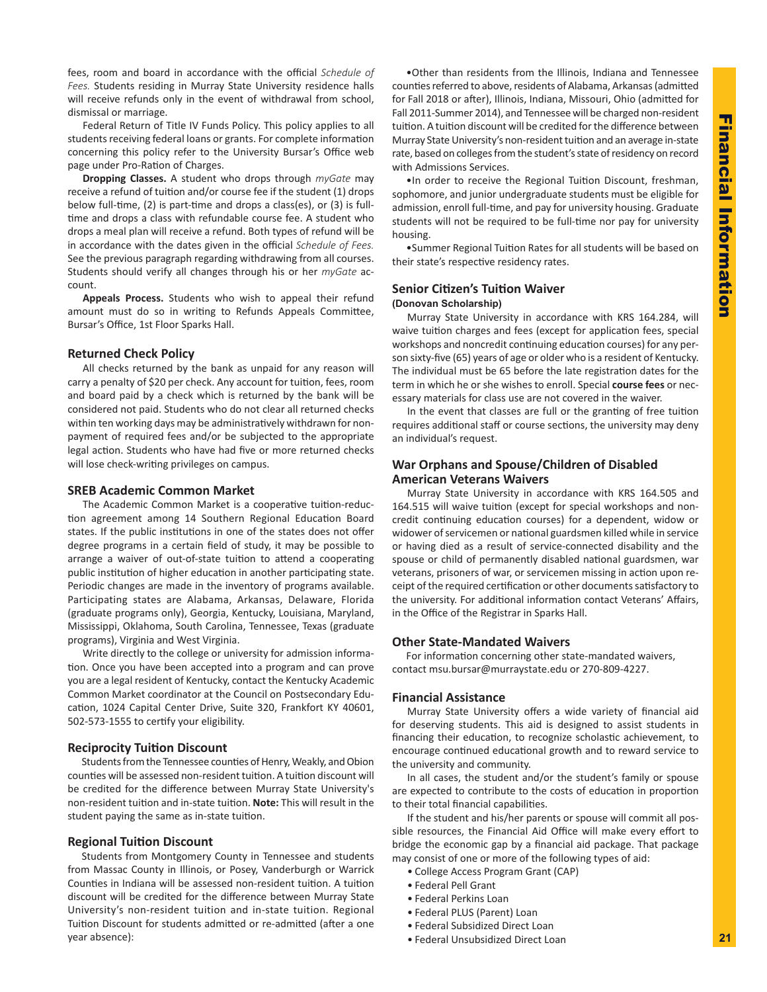<span id="page-2-0"></span>fees, room and board in accordance with the official *Schedule of Fees.* Students residing in Murray State University residence halls will receive refunds only in the event of withdrawal from school, dismissal or marriage.

Federal Return of Title IV Funds Policy. This policy applies to all students receiving federal loans or grants. For complete information concerning this policy refer to the University Bursar's Office web page under Pro-Ration of Charges.

**Dropping Classes.** A student who drops through *myGate* may receive a refund of tuition and/or course fee if the student (1) drops below full-time, (2) is part-time and drops a class(es), or (3) is fulltime and drops a class with refundable course fee. A student who drops a meal plan will receive a refund. Both types of refund will be in accordance with the dates given in the official *Schedule of Fees.*  See the previous paragraph regarding withdrawing from all courses. Students should verify all changes through his or her *myGate* account.

**Appeals Process.** Students who wish to appeal their refund amount must do so in writing to Refunds Appeals Committee, Bursar's Office, 1st Floor Sparks Hall.

## **Returned Check Policy**

All checks returned by the bank as unpaid for any reason will carry a penalty of \$20 per check. Any account for tuition, fees, room and board paid by a check which is returned by the bank will be considered not paid. Students who do not clear all returned checks within ten working days may be administratively withdrawn for nonpayment of required fees and/or be subjected to the appropriate legal action. Students who have had five or more returned checks will lose check-writing privileges on campus.

## **SREB Academic Common Market**

The Academic Common Market is a cooperative tuition-reduction agreement among 14 Southern Regional Education Board states. If the public institutions in one of the states does not offer degree programs in a certain field of study, it may be possible to arrange a waiver of out-of-state tuition to attend a cooperating public institution of higher education in another participating state. Periodic changes are made in the inventory of programs available. Participating states are Alabama, Arkansas, Delaware, Florida (graduate programs only), Georgia, Kentucky, Louisiana, Maryland, Mississippi, Oklahoma, South Carolina, Tennessee, Texas (graduate programs), Virginia and West Virginia.

Write directly to the college or university for admission information. Once you have been accepted into a program and can prove you are a legal resident of Kentucky, contact the Kentucky Academic Common Market coordinator at the Council on Postsecondary Education, 1024 Capital Center Drive, Suite 320, Frankfort KY 40601, 502-573-1555 to certify your eligibility.

## **Reciprocity Tuition Discount**

Students from the Tennessee counties of Henry, Weakly, and Obion counties will be assessed non-resident tuition. A tuition discount will be credited for the difference between Murray State University's non-resident tuition and in-state tuition. **Note:** This will result in the student paying the same as in-state tuition.

## **Regional Tuition Discount**

Students from Montgomery County in Tennessee and students from Massac County in Illinois, or Posey, Vanderburgh or Warrick Counties in Indiana will be assessed non-resident tuition. A tuition discount will be credited for the difference between Murray State University's non-resident tuition and in-state tuition. Regional Tuition Discount for students admitted or re-admitted (after a one year absence):

•Other than residents from the Illinois, Indiana and Tennessee counties referred to above, residents of Alabama, Arkansas (admitted for Fall 2018 or after), Illinois, Indiana, Missouri, Ohio (admitted for Fall 2011-Summer 2014), and Tennessee will be charged non-resident tuition. A tuition discount will be credited for the difference between Murray State University's non-resident tuition and an average in-state rate, based on colleges from the student's state of residency on record with Admissions Services.

•In order to receive the Regional Tuition Discount, freshman, sophomore, and junior undergraduate students must be eligible for admission, enroll full-time, and pay for university housing. Graduate students will not be required to be full-time nor pay for university housing.

•Summer Regional Tuition Rates for all students will be based on their state's respective residency rates.

## **Senior Citizen's Tuition Waiver (Donovan Scholarship)**

Murray State University in accordance with KRS 164.284, will waive tuition charges and fees (except for application fees, special workshops and noncredit continuing education courses) for any person sixty-five (65) years of age or older who is a resident of Kentucky. The individual must be 65 before the late registration dates for the term in which he or she wishes to enroll. Special **course fees** or necessary materials for class use are not covered in the waiver.

In the event that classes are full or the granting of free tuition requires additional staff or course sections, the university may deny an individual's request.

## **War Orphans and Spouse/Children of Disabled American Veterans Waivers**

Murray State University in accordance with KRS 164.505 and 164.515 will waive tuition (except for special workshops and noncredit continuing education courses) for a dependent, widow or widower of servicemen or national guardsmen killed while in service or having died as a result of service-connected disability and the spouse or child of permanently disabled national guardsmen, war veterans, prisoners of war, or servicemen missing in action upon receipt of the required certification or other documents satisfactory to the university. For additional information contact Veterans' Affairs, in the Office of the Registrar in Sparks Hall.

## **Other State-Mandated Waivers**

For information concerning other state-mandated waivers, contact msu.bursar@murraystate.edu or 270-809-4227.

## **Financial Assistance**

Murray State University offers a wide variety of financial aid for deserving students. This aid is designed to assist students in financing their education, to recognize scholastic achievement, to encourage continued educational growth and to reward service to the university and community.

In all cases, the student and/or the student's family or spouse are expected to contribute to the costs of education in proportion to their total financial capabilities.

If the student and his/her parents or spouse will commit all possible resources, the Financial Aid Office will make every effort to bridge the economic gap by a financial aid package. That package may consist of one or more of the following types of aid:

- College Access Program Grant (CAP)
- Federal Pell Grant
- Federal Perkins Loan
- Federal PLUS (Parent) Loan
- Federal Subsidized Direct Loan
- Federal Unsubsidized Direct Loan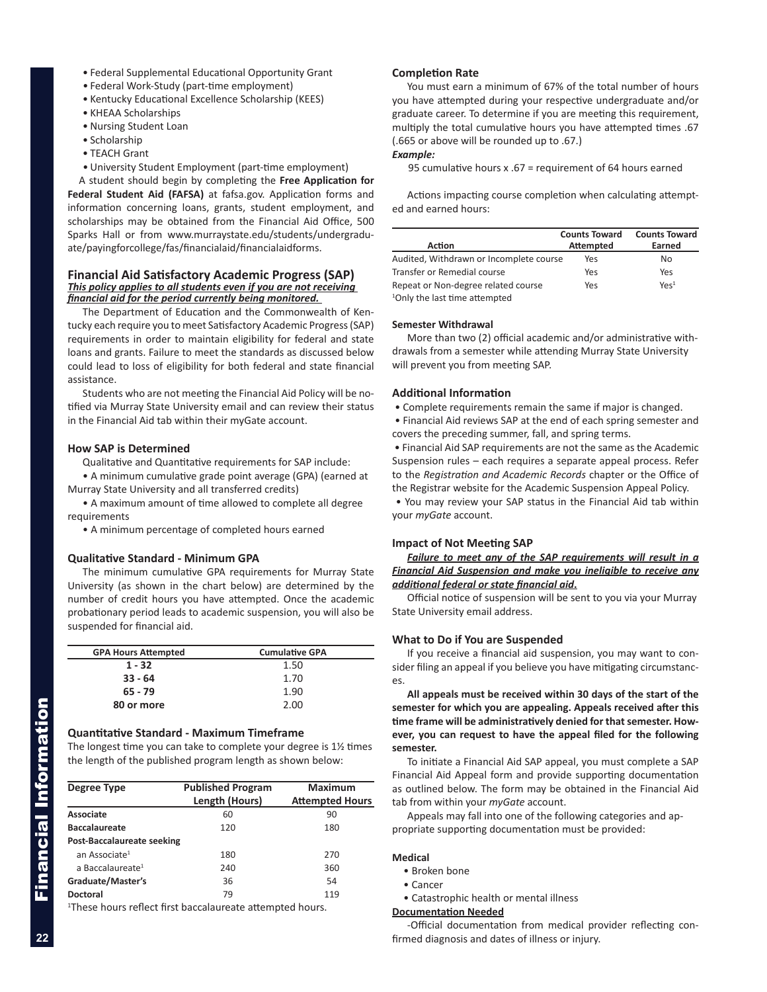- <span id="page-3-0"></span>• Federal Supplemental Educational Opportunity Grant
- Federal Work-Study (part-time employment)
- Kentucky Educational Excellence Scholarship (KEES)
- KHEAA Scholarships
- Nursing Student Loan
- Scholarship
- TEACH Grant
- University Student Employment (part-time employment)

A student should begin by completing the **Free Application for Federal Student Aid (FAFSA)** at fafsa.gov. Application forms and information concerning loans, grants, student employment, and scholarships may be obtained from the Financial Aid Office, 500 Sparks Hall or from www.murraystate.edu/students/undergraduate/payingforcollege/fas/financialaid/financialaidforms.

#### **Financial Aid Satisfactory Academic Progress (SAP)**  *This policy applies to all students even if you are not receiving financial aid for the period currently being monitored.*

The Department of Education and the Commonwealth of Kentucky each require you to meet Satisfactory Academic Progress (SAP) requirements in order to maintain eligibility for federal and state loans and grants. Failure to meet the standards as discussed below could lead to loss of eligibility for both federal and state financial assistance.

Students who are not meeting the Financial Aid Policy will be notified via Murray State University email and can review their status in the Financial Aid tab within their myGate account.

#### **How SAP is Determined**

Qualitative and Quantitative requirements for SAP include:

• A minimum cumulative grade point average (GPA) (earned at Murray State University and all transferred credits)

• A maximum amount of time allowed to complete all degree requirements

• A minimum percentage of completed hours earned

#### **Qualitative Standard - Minimum GPA**

The minimum cumulative GPA requirements for Murray State University (as shown in the chart below) are determined by the number of credit hours you have attempted. Once the academic probationary period leads to academic suspension, you will also be suspended for financial aid.

| <b>GPA Hours Attempted</b> | <b>Cumulative GPA</b> |
|----------------------------|-----------------------|
| $1 - 32$                   | 1.50                  |
| $33 - 64$                  | 1.70                  |
| $65 - 79$                  | 1.90                  |
| 80 or more                 | 2.00                  |

#### **Quantitative Standard - Maximum Timeframe**

The longest time you can take to complete your degree is 1½ times the length of the published program length as shown below:

| Degree Type                                                          | <b>Published Program</b> | <b>Maximum</b>         |  |
|----------------------------------------------------------------------|--------------------------|------------------------|--|
|                                                                      | Length (Hours)           | <b>Attempted Hours</b> |  |
| Associate                                                            | 60                       | 90                     |  |
| <b>Baccalaureate</b>                                                 | 120                      | 180                    |  |
| Post-Baccalaureate seeking                                           |                          |                        |  |
| an Associate <sup>1</sup>                                            | 180                      | 270                    |  |
| a Baccalaureate <sup>1</sup>                                         | 240                      | 360                    |  |
| Graduate/Master's                                                    | 36                       | 54                     |  |
| <b>Doctoral</b>                                                      | 79                       | 119                    |  |
| <sup>1</sup> Those hours reflect first bassalaureate attempted hours |                          |                        |  |

These hours reflect first baccalaureate attempted hours.

#### **Completion Rate**

You must earn a minimum of 67% of the total number of hours you have attempted during your respective undergraduate and/or graduate career. To determine if you are meeting this requirement, multiply the total cumulative hours you have attempted times .67 (.665 or above will be rounded up to .67.)

## *Example:*

95 cumulative hours x .67 = requirement of 64 hours earned

Actions impacting course completion when calculating attempted and earned hours:

|                                           | <b>Counts Toward</b> | <b>Counts Toward</b> |
|-------------------------------------------|----------------------|----------------------|
| Action                                    | <b>Attempted</b>     | Earned               |
| Audited, Withdrawn or Incomplete course   | Yes                  | No                   |
| Transfer or Remedial course               | Yes                  | Yes                  |
| Repeat or Non-degree related course       | Yes                  | $Y \rho \varsigma^1$ |
| <sup>1</sup> Only the last time attempted |                      |                      |

#### **Semester Withdrawal**

More than two (2) official academic and/or administrative withdrawals from a semester while attending Murray State University will prevent you from meeting SAP.

#### **Additional Information**

• Complete requirements remain the same if major is changed.

 • Financial Aid reviews SAP at the end of each spring semester and covers the preceding summer, fall, and spring terms.

 • Financial Aid SAP requirements are not the same as the Academic Suspension rules – each requires a separate appeal process. Refer to the *Registration and Academic Records* chapter or the Office of the Registrar website for the Academic Suspension Appeal Policy.

 • You may review your SAP status in the Financial Aid tab within your *myGate* account.

#### **Impact of Not Meeting SAP**

*Failure to meet any of the SAP requirements will result in a Financial Aid Suspension and make you ineligible to receive any additional federal or state financial aid***.**

Official notice of suspension will be sent to you via your Murray State University email address.

#### **What to Do if You are Suspended**

If you receive a financial aid suspension, you may want to consider filing an appeal if you believe you have mitigating circumstances.

**All appeals must be received within 30 days of the start of the semester for which you are appealing. Appeals received after this time frame will be administratively denied for that semester. However, you can request to have the appeal filed for the following semester.** 

To initiate a Financial Aid SAP appeal, you must complete a SAP Financial Aid Appeal form and provide supporting documentation as outlined below. The form may be obtained in the Financial Aid tab from within your *myGate* account.

Appeals may fall into one of the following categories and appropriate supporting documentation must be provided:

#### **Medical**

- Broken bone
- Cancer
- Catastrophic health or mental illness

#### **Documentation Needed**

-Official documentation from medical provider reflecting confirmed diagnosis and dates of illness or injury.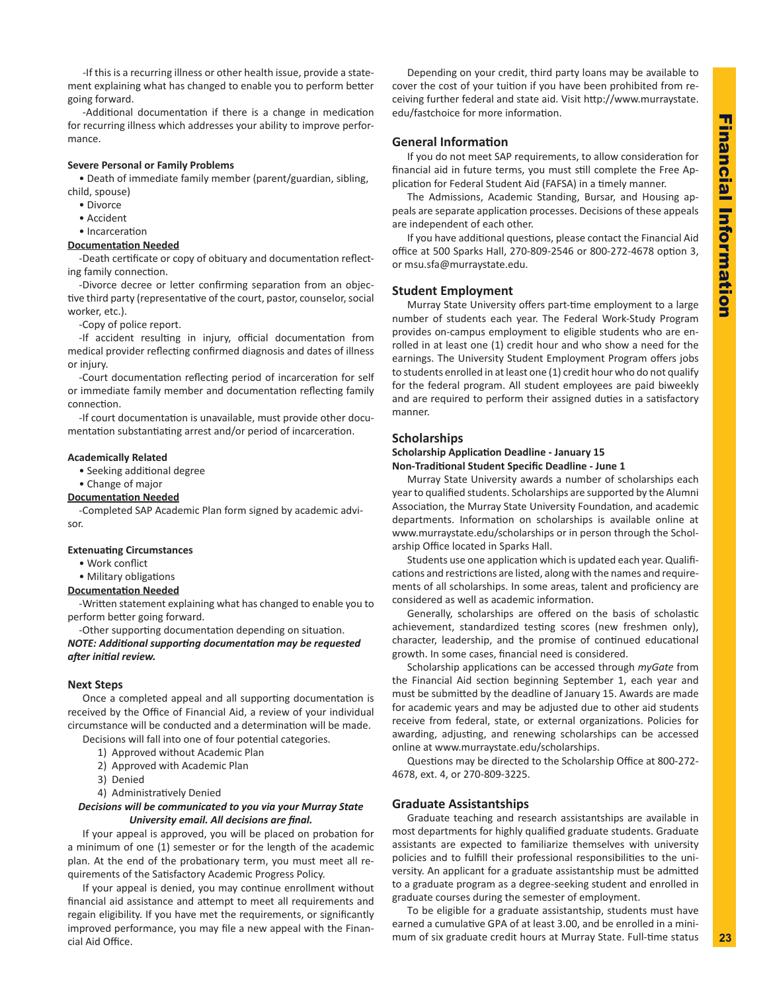<span id="page-4-0"></span>-If this is a recurring illness or other health issue, provide a statement explaining what has changed to enable you to perform better going forward.

-Additional documentation if there is a change in medication for recurring illness which addresses your ability to improve performance.

#### **Severe Personal or Family Problems**

• Death of immediate family member (parent/guardian, sibling, child, spouse)

- Divorce
- Accident
- Incarceration

#### **Documentation Needed**

-Death certificate or copy of obituary and documentation reflecting family connection.

-Divorce decree or letter confirming separation from an objective third party (representative of the court, pastor, counselor, social worker, etc.).

-Copy of police report.

-If accident resulting in injury, official documentation from medical provider reflecting confirmed diagnosis and dates of illness or injury.

-Court documentation reflecting period of incarceration for self or immediate family member and documentation reflecting family connection.

-If court documentation is unavailable, must provide other documentation substantiating arrest and/or period of incarceration.

#### **Academically Related**

• Seeking additional degree

• Change of major

#### **Documentation Needed**

-Completed SAP Academic Plan form signed by academic advisor.

#### **Extenuating Circumstances**

• Work conflict

• Military obligations

#### **Documentation Needed**

-Written statement explaining what has changed to enable you to perform better going forward.

-Other supporting documentation depending on situation. *NOTE: Additional supporting documentation may be requested after initial review.*

#### **Next Steps**

Once a completed appeal and all supporting documentation is received by the Office of Financial Aid, a review of your individual circumstance will be conducted and a determination will be made.

Decisions will fall into one of four potential categories.

- 1) Approved without Academic Plan
- 2) Approved with Academic Plan
- 3) Denied
- 4) Administratively Denied

#### *Decisions will be communicated to you via your Murray State University email. All decisions are final.*

If your appeal is approved, you will be placed on probation for a minimum of one (1) semester or for the length of the academic plan. At the end of the probationary term, you must meet all requirements of the Satisfactory Academic Progress Policy.

If your appeal is denied, you may continue enrollment without financial aid assistance and attempt to meet all requirements and regain eligibility. If you have met the requirements, or significantly improved performance, you may file a new appeal with the Financial Aid Office.

Depending on your credit, third party loans may be available to cover the cost of your tuition if you have been prohibited from receiving further federal and state aid. Visit http://www.murraystate. edu/fastchoice for more information.

## **General Information**

If you do not meet SAP requirements, to allow consideration for financial aid in future terms, you must still complete the Free Application for Federal Student Aid (FAFSA) in a timely manner.

The Admissions, Academic Standing, Bursar, and Housing appeals are separate application processes. Decisions of these appeals are independent of each other.

If you have additional questions, please contact the Financial Aid office at 500 Sparks Hall, 270-809-2546 or 800-272-4678 option 3, or msu.sfa@murraystate.edu.

#### **Student Employment**

Murray State University offers part-time employment to a large number of students each year. The Federal Work-Study Program provides on-campus employment to eligible students who are enrolled in at least one (1) credit hour and who show a need for the earnings. The University Student Employment Program offers jobs to students enrolled in at least one (1) credit hour who do not qualify for the federal program. All student employees are paid biweekly and are required to perform their assigned duties in a satisfactory manner.

#### **Scholarships**

#### **Scholarship Application Deadline - January 15 Non-Traditional Student Specific Deadline - June 1**

Murray State University awards a number of scholarships each year to qualified students. Scholarships are supported by the Alumni Association, the Murray State University Foundation, and academic departments. Information on scholarships is available online at www.murraystate.edu/scholarships or in person through the Scholarship Office located in Sparks Hall.

Students use one application which is updated each year. Qualifications and restrictions are listed, along with the names and requirements of all scholarships. In some areas, talent and proficiency are considered as well as academic information.

Generally, scholarships are offered on the basis of scholastic achievement, standardized testing scores (new freshmen only), character, leadership, and the promise of continued educational growth. In some cases, financial need is considered.

Scholarship applications can be accessed through *myGate* from the Financial Aid section beginning September 1, each year and must be submitted by the deadline of January 15. Awards are made for academic years and may be adjusted due to other aid students receive from federal, state, or external organizations. Policies for awarding, adjusting, and renewing scholarships can be accessed online at www.murraystate.edu/scholarships.

Questions may be directed to the Scholarship Office at 800-272- 4678, ext. 4, or 270-809-3225.

## **Graduate Assistantships**

Graduate teaching and research assistantships are available in most departments for highly qualified graduate students. Graduate assistants are expected to familiarize themselves with university policies and to fulfill their professional responsibilities to the university. An applicant for a graduate assistantship must be admitted to a graduate program as a degree-seeking student and enrolled in graduate courses during the semester of employment.

To be eligible for a graduate assistantship, students must have earned a cumulative GPA of at least 3.00, and be enrolled in a minimum of six graduate credit hours at Murray State. Full-time status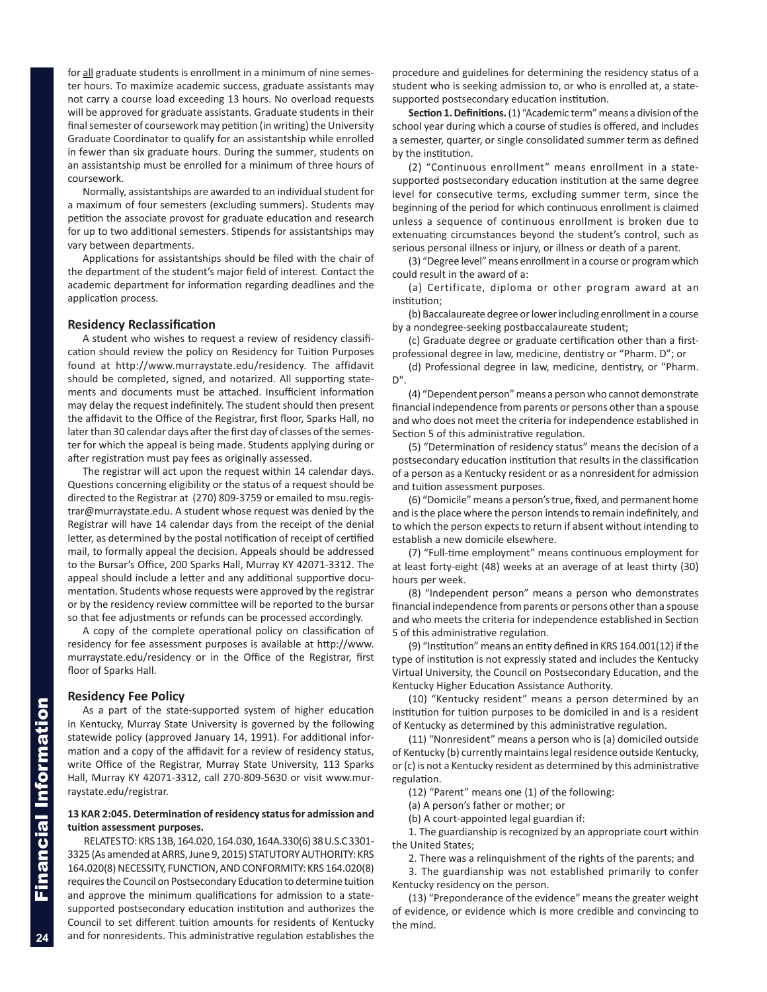<span id="page-5-0"></span>for all graduate students is enrollment in a minimum of nine semester hours. To maximize academic success, graduate assistants may not carry a course load exceeding 13 hours. No overload requests will be approved for graduate assistants. Graduate students in their final semester of coursework may petition (in writing) the University Graduate Coordinator to qualify for an assistantship while enrolled in fewer than six graduate hours. During the summer, students on an assistantship must be enrolled for a minimum of three hours of coursework.

Normally, assistantships are awarded to an individual student for a maximum of four semesters (excluding summers). Students may petition the associate provost for graduate education and research for up to two additional semesters. Stipends for assistantships may vary between departments.

Applications for assistantships should be filed with the chair of the department of the student's major field of interest. Contact the academic department for information regarding deadlines and the application process.

#### **Residency Reclassification**

A student who wishes to request a review of residency classification should review the policy on Residency for Tuition Purposes found at http://www.murraystate.edu/residency. The affidavit should be completed, signed, and notarized. All supporting statements and documents must be attached. Insufficient information may delay the request indefinitely. The student should then present the affidavit to the Office of the Registrar, first floor, Sparks Hall, no later than 30 calendar days after the first day of classes of the semester for which the appeal is being made. Students applying during or after registration must pay fees as originally assessed.

The registrar will act upon the request within 14 calendar days. Questions concerning eligibility or the status of a request should be directed to the Registrar at (270) 809-3759 or emailed to msu.registrar@murraystate.edu. A student whose request was denied by the Registrar will have 14 calendar days from the receipt of the denial letter, as determined by the postal notification of receipt of certified mail, to formally appeal the decision. Appeals should be addressed to the Bursar's Office, 200 Sparks Hall, Murray KY 42071-3312. The appeal should include a letter and any additional supportive documentation. Students whose requests were approved by the registrar or by the residency review committee will be reported to the bursar so that fee adjustments or refunds can be processed accordingly.

A copy of the complete operational policy on classification of residency for fee assessment purposes is available at http://www. murraystate.edu/residency or in the Office of the Registrar, first floor of Sparks Hall.

#### **Residency Fee Policy**

As a part of the state-supported system of higher education in Kentucky, Murray State University is governed by the following statewide policy (approved January 14, 1991). For additional information and a copy of the affidavit for a review of residency status, write Office of the Registrar, Murray State University, 113 Sparks Hall, Murray KY 42071-3312, call 270-809-5630 or visit www.murraystate.edu/registrar.

### **13 KAR 2:045. Determination of residency status for admission and tuition assessment purposes.**

RELATES TO: KRS 13B, 164.020, 164.030, 164A.330(6) 38 U.S.C 3301- 3325 (As amended at ARRS, June 9, 2015) STATUTORY AUTHORITY: KRS 164.020(8) NECESSITY, FUNCTION, AND CONFORMITY: KRS 164.020(8) requires the Council on Postsecondary Education to determine tuition and approve the minimum qualifications for admission to a statesupported postsecondary education institution and authorizes the Council to set different tuition amounts for residents of Kentucky and for nonresidents. This administrative regulation establishes the

procedure and guidelines for determining the residency status of a student who is seeking admission to, or who is enrolled at, a statesupported postsecondary education institution.

**Section 1.Definitions.** (1) "Academic term" means a division of the school year during which a course of studies is offered, and includes a semester, quarter, or single consolidated summer term as defined by the institution.

(2) "Continuous enrollment" means enrollment in a statesupported postsecondary education institution at the same degree level for consecutive terms, excluding summer term, since the beginning of the period for which continuous enrollment is claimed unless a sequence of continuous enrollment is broken due to extenuating circumstances beyond the student's control, such as serious personal illness or injury, or illness or death of a parent.

(3) "Degree level" means enrollment in a course or program which could result in the award of a:

(a) Certificate, diploma or other program award at an institution;

(b) Baccalaureate degree or lower including enrollment in a course by a nondegree-seeking postbaccalaureate student;

(c) Graduate degree or graduate certification other than a firstprofessional degree in law, medicine, dentistry or "Pharm. D"; or

(d) Professional degree in law, medicine, dentistry, or "Pharm. D".

(4) "Dependent person" means a person who cannot demonstrate financial independence from parents or persons other than a spouse and who does not meet the criteria for independence established in Section 5 of this administrative regulation.

(5) "Determination of residency status" means the decision of a postsecondary education institution that results in the classification of a person as a Kentucky resident or as a nonresident for admission and tuition assessment purposes.

(6) "Domicile" means a person's true, fixed, and permanent home and is the place where the person intends to remain indefinitely, and to which the person expects to return if absent without intending to establish a new domicile elsewhere.

(7) "Full-time employment" means continuous employment for at least forty-eight (48) weeks at an average of at least thirty (30) hours per week.

(8) "Independent person" means a person who demonstrates financial independence from parents or persons other than a spouse and who meets the criteria for independence established in Section 5 of this administrative regulation.

(9) "Institution" means an entity defined in KRS 164.001(12) if the type of institution is not expressly stated and includes the Kentucky Virtual University, the Council on Postsecondary Education, and the Kentucky Higher Education Assistance Authority.

(10) "Kentucky resident" means a person determined by an institution for tuition purposes to be domiciled in and is a resident of Kentucky as determined by this administrative regulation.

(11) "Nonresident" means a person who is (a) domiciled outside of Kentucky (b) currently maintains legal residence outside Kentucky, or (c) is not a Kentucky resident as determined by this administrative regulation.

(12) "Parent" means one (1) of the following:

(a) A person's father or mother; or

(b) A court-appointed legal guardian if:

1. The guardianship is recognized by an appropriate court within the United States;

2. There was a relinquishment of the rights of the parents; and

3. The guardianship was not established primarily to confer Kentucky residency on the person.

(13) "Preponderance of the evidence" means the greater weight of evidence, or evidence which is more credible and convincing to the mind.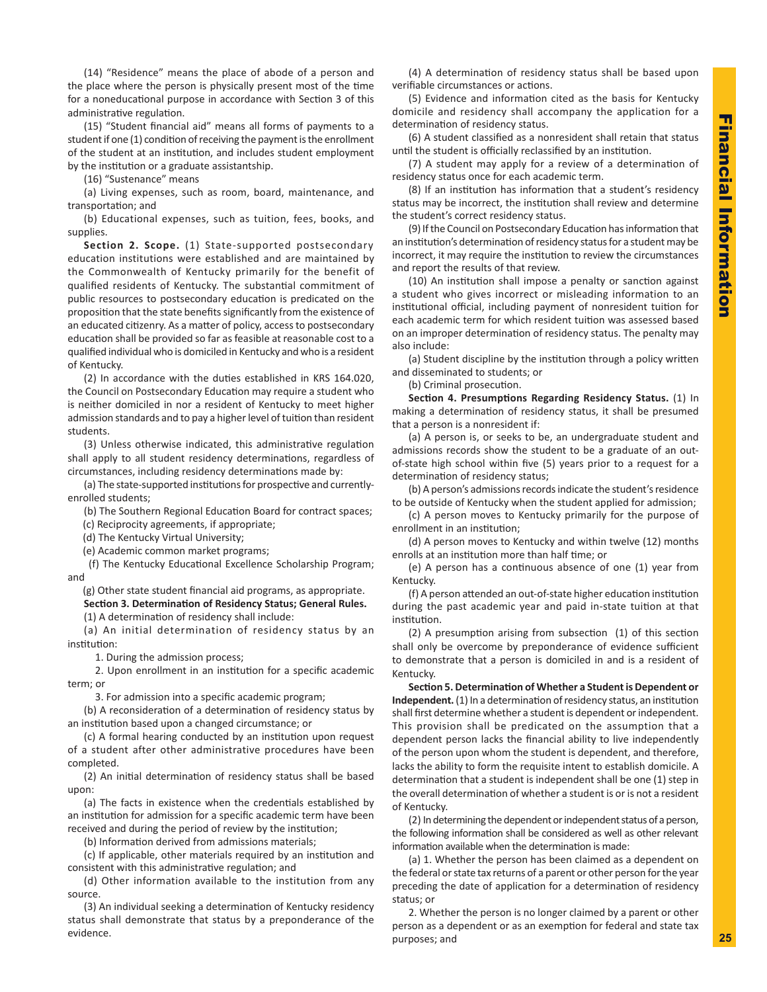(14) "Residence" means the place of abode of a person and the place where the person is physically present most of the time for a noneducational purpose in accordance with Section 3 of this administrative regulation.

(15) "Student financial aid" means all forms of payments to a student if one (1) condition of receiving the payment is the enrollment of the student at an institution, and includes student employment by the institution or a graduate assistantship.

(16) "Sustenance" means

(a) Living expenses, such as room, board, maintenance, and transportation; and

(b) Educational expenses, such as tuition, fees, books, and supplies.

**Section 2. Scope.** (1) State-supported postsecondary education institutions were established and are maintained by the Commonwealth of Kentucky primarily for the benefit of qualified residents of Kentucky. The substantial commitment of public resources to postsecondary education is predicated on the proposition that the state benefits significantly from the existence of an educated citizenry. As a matter of policy, access to postsecondary education shall be provided so far as feasible at reasonable cost to a qualified individual who is domiciled in Kentucky and who is a resident of Kentucky.

(2) In accordance with the duties established in KRS 164.020, the Council on Postsecondary Education may require a student who is neither domiciled in nor a resident of Kentucky to meet higher admission standards and to pay a higher level of tuition than resident students.

(3) Unless otherwise indicated, this administrative regulation shall apply to all student residency determinations, regardless of circumstances, including residency determinations made by:

(a) The state-supported institutions for prospective and currentlyenrolled students;

(b) The Southern Regional Education Board for contract spaces;

(c) Reciprocity agreements, if appropriate;

(d) The Kentucky Virtual University;

(e) Academic common market programs;

 (f) The Kentucky Educational Excellence Scholarship Program; and

 (g) Other state student financial aid programs, as appropriate. **Section 3. Determination of Residency Status; General Rules.** (1) A determination of residency shall include:

(a) An initial determination of residency status by an institution:

1. During the admission process;

2. Upon enrollment in an institution for a specific academic term; or

3. For admission into a specific academic program;

(b) A reconsideration of a determination of residency status by an institution based upon a changed circumstance; or

(c) A formal hearing conducted by an institution upon request of a student after other administrative procedures have been completed.

(2) An initial determination of residency status shall be based upon:

(a) The facts in existence when the credentials established by an institution for admission for a specific academic term have been received and during the period of review by the institution;

(b) Information derived from admissions materials;

(c) If applicable, other materials required by an institution and consistent with this administrative regulation; and

(d) Other information available to the institution from any source.

(3) An individual seeking a determination of Kentucky residency status shall demonstrate that status by a preponderance of the evidence.

(4) A determination of residency status shall be based upon verifiable circumstances or actions.

(5) Evidence and information cited as the basis for Kentucky domicile and residency shall accompany the application for a determination of residency status.

(6) A student classified as a nonresident shall retain that status until the student is officially reclassified by an institution.

(7) A student may apply for a review of a determination of residency status once for each academic term.

(8) If an institution has information that a student's residency status may be incorrect, the institution shall review and determine the student's correct residency status.

(9) If the Council on Postsecondary Education has information that an institution's determination of residency status for a student may be incorrect, it may require the institution to review the circumstances and report the results of that review.

(10) An institution shall impose a penalty or sanction against a student who gives incorrect or misleading information to an institutional official, including payment of nonresident tuition for each academic term for which resident tuition was assessed based on an improper determination of residency status. The penalty may also include:

(a) Student discipline by the institution through a policy written and disseminated to students; or

(b) Criminal prosecution.

**Section 4. Presumptions Regarding Residency Status.** (1) In making a determination of residency status, it shall be presumed that a person is a nonresident if:

(a) A person is, or seeks to be, an undergraduate student and admissions records show the student to be a graduate of an outof-state high school within five (5) years prior to a request for a determination of residency status;

(b) A person's admissions records indicate the student's residence to be outside of Kentucky when the student applied for admission;

(c) A person moves to Kentucky primarily for the purpose of enrollment in an institution;

(d) A person moves to Kentucky and within twelve (12) months enrolls at an institution more than half time; or

(e) A person has a continuous absence of one (1) year from Kentucky.

(f) A person attended an out-of-state higher education institution during the past academic year and paid in-state tuition at that institution.

(2) A presumption arising from subsection (1) of this section shall only be overcome by preponderance of evidence sufficient to demonstrate that a person is domiciled in and is a resident of Kentucky.

**Section 5. Determination of Whether a Student is Dependent or Independent.** (1) In a determination of residency status, an institution shall first determine whether a student is dependent or independent. This provision shall be predicated on the assumption that a dependent person lacks the financial ability to live independently of the person upon whom the student is dependent, and therefore, lacks the ability to form the requisite intent to establish domicile. A determination that a student is independent shall be one (1) step in the overall determination of whether a student is or is not a resident of Kentucky.

(2) In determining the dependent or independent status of a person, the following information shall be considered as well as other relevant information available when the determination is made:

(a) 1. Whether the person has been claimed as a dependent on the federal or state tax returns of a parent or other person for the year preceding the date of application for a determination of residency status; or

2. Whether the person is no longer claimed by a parent or other person as a dependent or as an exemption for federal and state tax purposes; and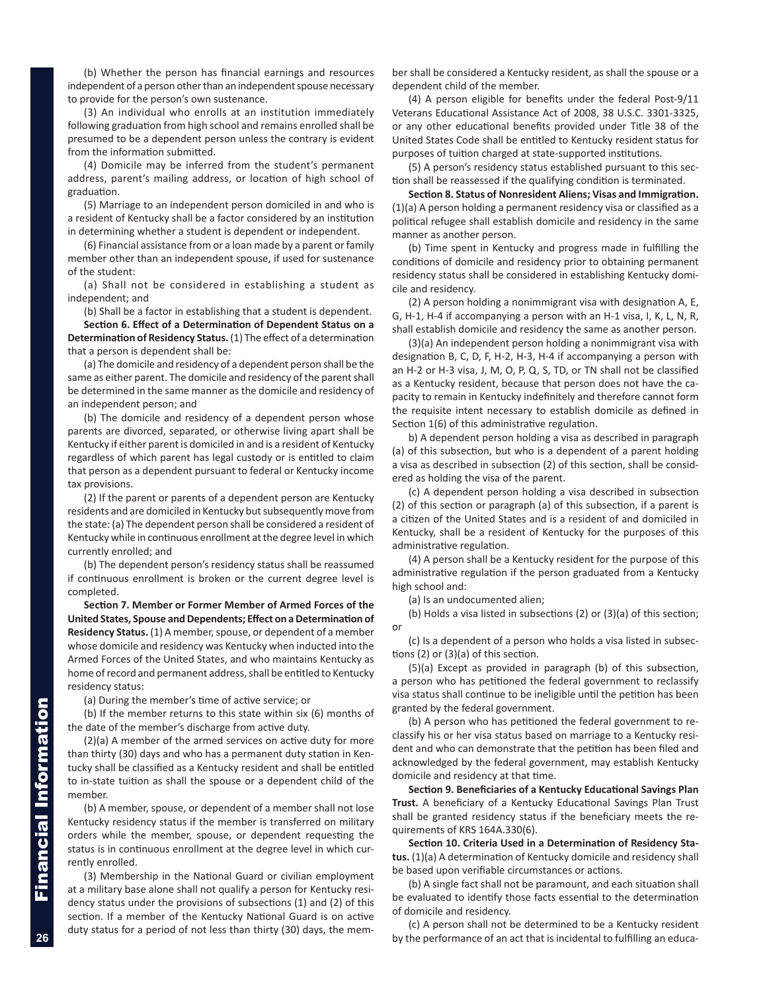(b) Whether the person has financial earnings and resources independent of a person other than an independent spouse necessary to provide for the person's own sustenance.

(3) An individual who enrolls at an institution immediately following graduation from high school and remains enrolled shall be presumed to be a dependent person unless the contrary is evident from the information submitted.

(4) Domicile may be inferred from the student's permanent address, parent's mailing address, or location of high school of graduation.

(5) Marriage to an independent person domiciled in and who is a resident of Kentucky shall be a factor considered by an institution in determining whether a student is dependent or independent.

(6) Financial assistance from or a loan made by a parent or family member other than an independent spouse, if used for sustenance of the student:

(a) Shall not be considered in establishing a student as independent; and

(b) Shall be a factor in establishing that a student is dependent.

**Section 6. Effect of a Determination of Dependent Status on a Determination of Residency Status.** (1) The effect of a determination that a person is dependent shall be:

(a) The domicile and residency of a dependent person shall be the same as either parent. The domicile and residency of the parent shall be determined in the same manner as the domicile and residency of an independent person; and

(b) The domicile and residency of a dependent person whose parents are divorced, separated, or otherwise living apart shall be Kentucky if either parent is domiciled in and is a resident of Kentucky regardless of which parent has legal custody or is entitled to claim that person as a dependent pursuant to federal or Kentucky income tax provisions.

(2) If the parent or parents of a dependent person are Kentucky residents and are domiciled in Kentucky but subsequently move from the state: (a) The dependent person shall be considered a resident of Kentucky while in continuous enrollment at the degree level in which currently enrolled; and

(b) The dependent person's residency status shall be reassumed if continuous enrollment is broken or the current degree level is completed.

**Section 7. Member or Former Member of Armed Forces of the United States, Spouse and Dependents; Effect on a Determination of Residency Status.** (1) A member, spouse, or dependent of a member whose domicile and residency was Kentucky when inducted into the Armed Forces of the United States, and who maintains Kentucky as home of record and permanent address, shall be entitled to Kentucky residency status:

(a) During the member's time of active service; or

(b) If the member returns to this state within six (6) months of the date of the member's discharge from active duty.

(2)(a) A member of the armed services on active duty for more than thirty (30) days and who has a permanent duty station in Kentucky shall be classified as a Kentucky resident and shall be entitled to in-state tuition as shall the spouse or a dependent child of the member.

(b) A member, spouse, or dependent of a member shall not lose Kentucky residency status if the member is transferred on military orders while the member, spouse, or dependent requesting the status is in continuous enrollment at the degree level in which currently enrolled.

(3) Membership in the National Guard or civilian employment at a military base alone shall not qualify a person for Kentucky residency status under the provisions of subsections (1) and (2) of this section. If a member of the Kentucky National Guard is on active duty status for a period of not less than thirty (30) days, the member shall be considered a Kentucky resident, as shall the spouse or a dependent child of the member.

(4) A person eligible for benefits under the federal Post-9/11 Veterans Educational Assistance Act of 2008, 38 U.S.C. 3301-3325, or any other educational benefits provided under Title 38 of the United States Code shall be entitled to Kentucky resident status for purposes of tuition charged at state-supported institutions.

(5) A person's residency status established pursuant to this section shall be reassessed if the qualifying condition is terminated.

**Section 8. Status of Nonresident Aliens; Visas and Immigration.** (1)(a) A person holding a permanent residency visa or classified as a political refugee shall establish domicile and residency in the same manner as another person.

(b) Time spent in Kentucky and progress made in fulfilling the conditions of domicile and residency prior to obtaining permanent residency status shall be considered in establishing Kentucky domicile and residency.

(2) A person holding a nonimmigrant visa with designation A, E, G, H-1, H-4 if accompanying a person with an H-1 visa, I, K, L, N, R, shall establish domicile and residency the same as another person.

(3)(a) An independent person holding a nonimmigrant visa with designation B, C, D, F, H-2, H-3, H-4 if accompanying a person with an H-2 or H-3 visa, J, M, O, P, Q, S, TD, or TN shall not be classified as a Kentucky resident, because that person does not have the capacity to remain in Kentucky indefinitely and therefore cannot form the requisite intent necessary to establish domicile as defined in Section 1(6) of this administrative regulation.

b) A dependent person holding a visa as described in paragraph (a) of this subsection, but who is a dependent of a parent holding a visa as described in subsection (2) of this section, shall be considered as holding the visa of the parent.

(c) A dependent person holding a visa described in subsection (2) of this section or paragraph (a) of this subsection, if a parent is a citizen of the United States and is a resident of and domiciled in Kentucky, shall be a resident of Kentucky for the purposes of this administrative regulation.

(4) A person shall be a Kentucky resident for the purpose of this administrative regulation if the person graduated from a Kentucky high school and:

(a) Is an undocumented alien;

(b) Holds a visa listed in subsections (2) or (3)(a) of this section; or

(c) Is a dependent of a person who holds a visa listed in subsections (2) or (3)(a) of this section.

(5)(a) Except as provided in paragraph (b) of this subsection, a person who has petitioned the federal government to reclassify visa status shall continue to be ineligible until the petition has been granted by the federal government.

(b) A person who has petitioned the federal government to reclassify his or her visa status based on marriage to a Kentucky resident and who can demonstrate that the petition has been filed and acknowledged by the federal government, may establish Kentucky domicile and residency at that time.

**Section 9. Beneficiaries of a Kentucky Educational Savings Plan Trust.** A beneficiary of a Kentucky Educational Savings Plan Trust shall be granted residency status if the beneficiary meets the requirements of KRS 164A.330(6).

**Section 10. Criteria Used in a Determination of Residency Status.** (1)(a) A determination of Kentucky domicile and residency shall be based upon verifiable circumstances or actions.

(b) A single fact shall not be paramount, and each situation shall be evaluated to identify those facts essential to the determination of domicile and residency.

(c) A person shall not be determined to be a Kentucky resident by the performance of an act that is incidental to fulfilling an educa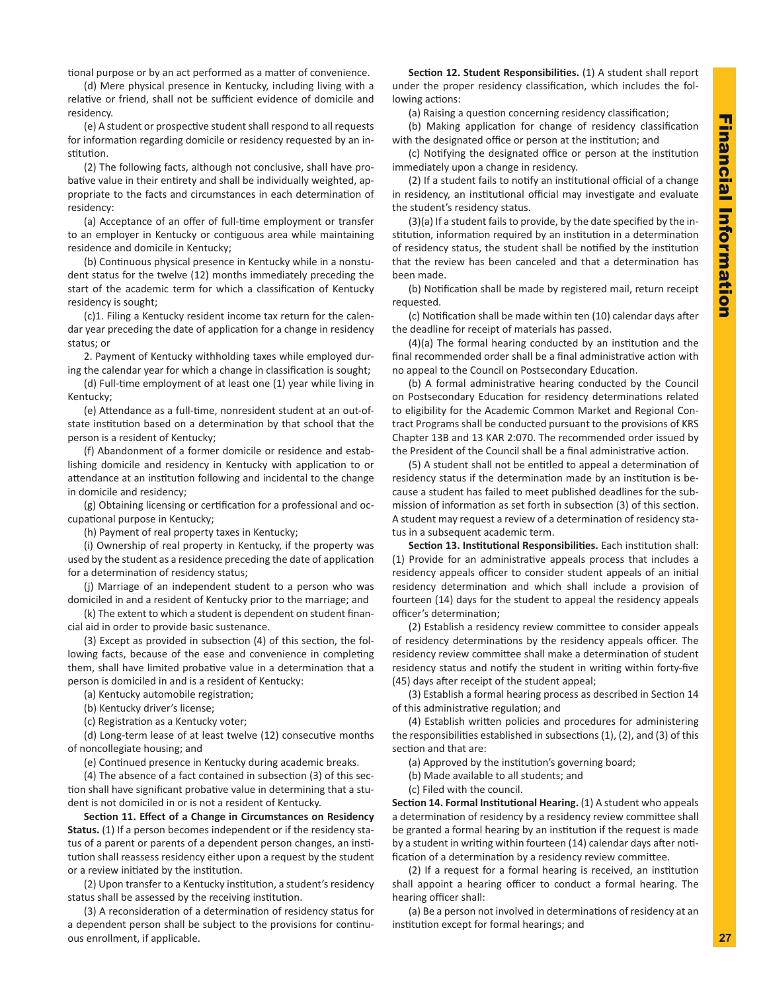tional purpose or by an act performed as a matter of convenience.

(d) Mere physical presence in Kentucky, including living with a relative or friend, shall not be sufficient evidence of domicile and residency.

(e) A student or prospective student shall respond to all requests for information regarding domicile or residency requested by an institution.

(2) The following facts, although not conclusive, shall have probative value in their entirety and shall be individually weighted, appropriate to the facts and circumstances in each determination of residency:

(a) Acceptance of an offer of full-time employment or transfer to an employer in Kentucky or contiguous area while maintaining residence and domicile in Kentucky;

(b) Continuous physical presence in Kentucky while in a nonstudent status for the twelve (12) months immediately preceding the start of the academic term for which a classification of Kentucky residency is sought;

(c)1. Filing a Kentucky resident income tax return for the calendar year preceding the date of application for a change in residency status; or

2. Payment of Kentucky withholding taxes while employed during the calendar year for which a change in classification is sought;

(d) Full-time employment of at least one (1) year while living in Kentucky;

(e) Attendance as a full-time, nonresident student at an out-ofstate institution based on a determination by that school that the person is a resident of Kentucky;

(f) Abandonment of a former domicile or residence and establishing domicile and residency in Kentucky with application to or attendance at an institution following and incidental to the change in domicile and residency;

(g) Obtaining licensing or certification for a professional and occupational purpose in Kentucky;

(h) Payment of real property taxes in Kentucky;

(i) Ownership of real property in Kentucky, if the property was used by the student as a residence preceding the date of application for a determination of residency status;

(j) Marriage of an independent student to a person who was domiciled in and a resident of Kentucky prior to the marriage; and

(k) The extent to which a student is dependent on student financial aid in order to provide basic sustenance.

(3) Except as provided in subsection (4) of this section, the following facts, because of the ease and convenience in completing them, shall have limited probative value in a determination that a person is domiciled in and is a resident of Kentucky:

(a) Kentucky automobile registration;

(b) Kentucky driver's license;

(c) Registration as a Kentucky voter;

(d) Long-term lease of at least twelve (12) consecutive months of noncollegiate housing; and

(e) Continued presence in Kentucky during academic breaks.

(4) The absence of a fact contained in subsection (3) of this section shall have significant probative value in determining that a student is not domiciled in or is not a resident of Kentucky.

**Section 11. Effect of a Change in Circumstances on Residency Status.** (1) If a person becomes independent or if the residency status of a parent or parents of a dependent person changes, an institution shall reassess residency either upon a request by the student or a review initiated by the institution.

(2) Upon transfer to a Kentucky institution, a student's residency status shall be assessed by the receiving institution.

(3) A reconsideration of a determination of residency status for a dependent person shall be subject to the provisions for continuous enrollment, if applicable.

**Section 12. Student Responsibilities.** (1) A student shall report under the proper residency classification, which includes the following actions:

(a) Raising a question concerning residency classification;

(b) Making application for change of residency classification with the designated office or person at the institution; and

(c) Notifying the designated office or person at the institution immediately upon a change in residency.

(2) If a student fails to notify an institutional official of a change in residency, an institutional official may investigate and evaluate the student's residency status.

(3)(a) If a student fails to provide, by the date specified by the institution, information required by an institution in a determination of residency status, the student shall be notified by the institution that the review has been canceled and that a determination has been made.

(b) Notification shall be made by registered mail, return receipt requested.

(c) Notification shall be made within ten (10) calendar days after the deadline for receipt of materials has passed.

(4)(a) The formal hearing conducted by an institution and the final recommended order shall be a final administrative action with no appeal to the Council on Postsecondary Education.

(b) A formal administrative hearing conducted by the Council on Postsecondary Education for residency determinations related to eligibility for the Academic Common Market and Regional Contract Programs shall be conducted pursuant to the provisions of KRS Chapter 13B and 13 KAR 2:070. The recommended order issued by the President of the Council shall be a final administrative action.

(5) A student shall not be entitled to appeal a determination of residency status if the determination made by an institution is because a student has failed to meet published deadlines for the submission of information as set forth in subsection (3) of this section. A student may request a review of a determination of residency status in a subsequent academic term.

**Section 13. Institutional Responsibilities.** Each institution shall: (1) Provide for an administrative appeals process that includes a residency appeals officer to consider student appeals of an initial residency determination and which shall include a provision of fourteen (14) days for the student to appeal the residency appeals officer's determination;

(2) Establish a residency review committee to consider appeals of residency determinations by the residency appeals officer. The residency review committee shall make a determination of student residency status and notify the student in writing within forty-five (45) days after receipt of the student appeal;

(3) Establish a formal hearing process as described in Section 14 of this administrative regulation; and

(4) Establish written policies and procedures for administering the responsibilities established in subsections (1), (2), and (3) of this section and that are:

(a) Approved by the institution's governing board;

(b) Made available to all students; and

(c) Filed with the council.

**Section 14. Formal Institutional Hearing.** (1) A student who appeals a determination of residency by a residency review committee shall be granted a formal hearing by an institution if the request is made by a student in writing within fourteen (14) calendar days after notification of a determination by a residency review committee.

(2) If a request for a formal hearing is received, an institution shall appoint a hearing officer to conduct a formal hearing. The hearing officer shall:

(a) Be a person not involved in determinations of residency at an institution except for formal hearings; and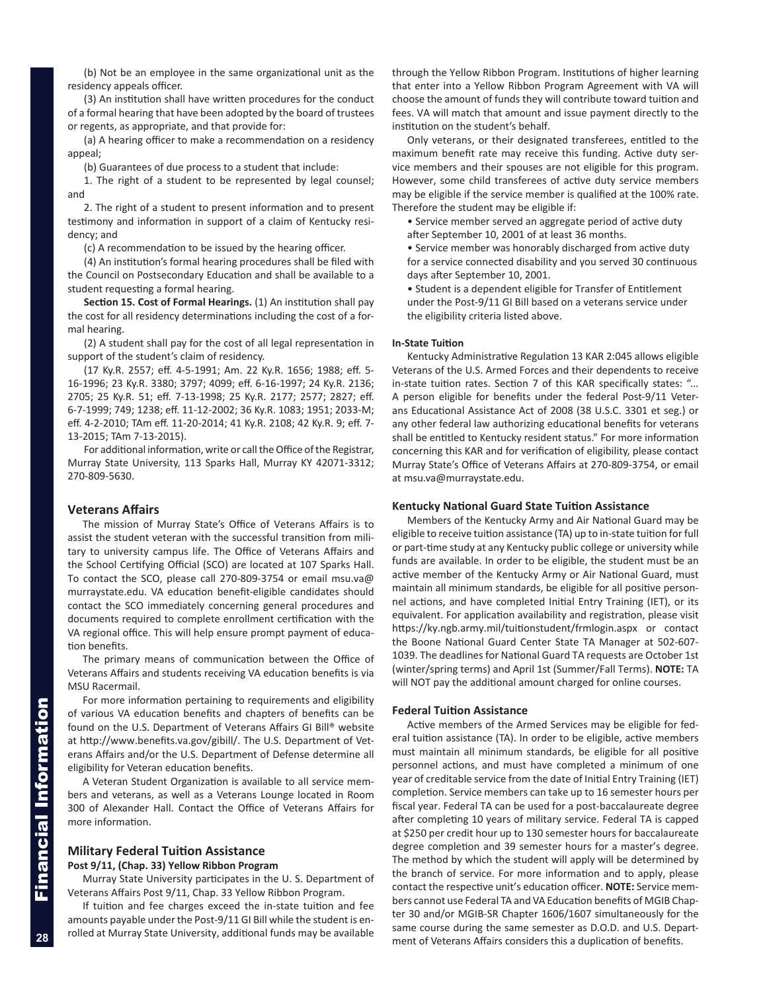<span id="page-9-0"></span>(b) Not be an employee in the same organizational unit as the residency appeals officer.

(3) An institution shall have written procedures for the conduct of a formal hearing that have been adopted by the board of trustees or regents, as appropriate, and that provide for:

(a) A hearing officer to make a recommendation on a residency appeal;

(b) Guarantees of due process to a student that include:

1. The right of a student to be represented by legal counsel; and

2. The right of a student to present information and to present testimony and information in support of a claim of Kentucky residency; and

(c) A recommendation to be issued by the hearing officer.

(4) An institution's formal hearing procedures shall be filed with the Council on Postsecondary Education and shall be available to a student requesting a formal hearing.

**Section 15. Cost of Formal Hearings.** (1) An institution shall pay the cost for all residency determinations including the cost of a formal hearing.

(2) A student shall pay for the cost of all legal representation in support of the student's claim of residency.

(17 Ky.R. 2557; eff. 4-5-1991; Am. 22 Ky.R. 1656; 1988; eff. 5- 16-1996; 23 Ky.R. 3380; 3797; 4099; eff. 6-16-1997; 24 Ky.R. 2136; 2705; 25 Ky.R. 51; eff. 7-13-1998; 25 Ky.R. 2177; 2577; 2827; eff. 6-7-1999; 749; 1238; eff. 11-12-2002; 36 Ky.R. 1083; 1951; 2033-M; eff. 4-2-2010; TAm eff. 11-20-2014; 41 Ky.R. 2108; 42 Ky.R. 9; eff. 7- 13-2015; TAm 7-13-2015).

For additional information, write or call the Office of the Registrar, Murray State University, 113 Sparks Hall, Murray KY 42071-3312; 270-809-5630.

## **Veterans Affairs**

The mission of Murray State's Office of Veterans Affairs is to assist the student veteran with the successful transition from military to university campus life. The Office of Veterans Affairs and the School Certifying Official (SCO) are located at 107 Sparks Hall. To contact the SCO, please call 270-809-3754 or email msu.va@ murraystate.edu. VA education benefit-eligible candidates should contact the SCO immediately concerning general procedures and documents required to complete enrollment certification with the VA regional office. This will help ensure prompt payment of education benefits.

The primary means of communication between the Office of Veterans Affairs and students receiving VA education benefits is via MSU Racermail.

For more information pertaining to requirements and eligibility of various VA education benefits and chapters of benefits can be found on the U.S. Department of Veterans Affairs GI Bill® website at http://www.benefits.va.gov/gibill/. The U.S. Department of Veterans Affairs and/or the U.S. Department of Defense determine all eligibility for Veteran education benefits.

A Veteran Student Organization is available to all service members and veterans, as well as a Veterans Lounge located in Room 300 of Alexander Hall. Contact the Office of Veterans Affairs for more information.

#### **Military Federal Tuition Assistance Post 9/11, (Chap. 33) Yellow Ribbon Program**

Murray State University participates in the U. S. Department of Veterans Affairs Post 9/11, Chap. 33 Yellow Ribbon Program.

If tuition and fee charges exceed the in-state tuition and fee amounts payable under the Post-9/11 GI Bill while the student is enrolled at Murray State University, additional funds may be available through the Yellow Ribbon Program. Institutions of higher learning that enter into a Yellow Ribbon Program Agreement with VA will choose the amount of funds they will contribute toward tuition and fees. VA will match that amount and issue payment directly to the institution on the student's behalf.

Only veterans, or their designated transferees, entitled to the maximum benefit rate may receive this funding. Active duty service members and their spouses are not eligible for this program. However, some child transferees of active duty service members may be eligible if the service member is qualified at the 100% rate. Therefore the student may be eligible if:

• Service member served an aggregate period of active duty after September 10, 2001 of at least 36 months.

• Service member was honorably discharged from active duty for a service connected disability and you served 30 continuous days after September 10, 2001.

• Student is a dependent eligible for Transfer of Entitlement under the Post-9/11 GI Bill based on a veterans service under the eligibility criteria listed above.

#### **In-State Tuition**

Kentucky Administrative Regulation 13 KAR 2:045 allows eligible Veterans of the U.S. Armed Forces and their dependents to receive in-state tuition rates. Section 7 of this KAR specifically states: "... A person eligible for benefits under the federal Post-9/11 Veterans Educational Assistance Act of 2008 (38 U.S.C. 3301 et seg.) or any other federal law authorizing educational benefits for veterans shall be entitled to Kentucky resident status." For more information concerning this KAR and for verification of eligibility, please contact Murray State's Office of Veterans Affairs at 270-809-3754, or email at msu.va@murraystate.edu.

#### **Kentucky National Guard State Tuition Assistance**

Members of the Kentucky Army and Air National Guard may be eligible to receive tuition assistance (TA) up to in-state tuition for full or part-time study at any Kentucky public college or university while funds are available. In order to be eligible, the student must be an active member of the Kentucky Army or Air National Guard, must maintain all minimum standards, be eligible for all positive personnel actions, and have completed Initial Entry Training (IET), or its equivalent. For application availability and registration, please visit https://ky.ngb.army.mil/tuitionstudent/frmlogin.aspx or contact the Boone National Guard Center State TA Manager at 502-607- 1039. The deadlines for National Guard TA requests are October 1st (winter/spring terms) and April 1st (Summer/Fall Terms). **NOTE:** TA will NOT pay the additional amount charged for online courses.

#### **Federal Tuition Assistance**

Active members of the Armed Services may be eligible for federal tuition assistance (TA). In order to be eligible, active members must maintain all minimum standards, be eligible for all positive personnel actions, and must have completed a minimum of one year of creditable service from the date of Initial Entry Training (IET) completion. Service members can take up to 16 semester hours per fiscal year. Federal TA can be used for a post-baccalaureate degree after completing 10 years of military service. Federal TA is capped at \$250 per credit hour up to 130 semester hours for baccalaureate degree completion and 39 semester hours for a master's degree. The method by which the student will apply will be determined by the branch of service. For more information and to apply, please contact the respective unit's education officer. **NOTE:** Service members cannot use Federal TA and VA Education benefits of MGIB Chapter 30 and/or MGIB-SR Chapter 1606/1607 simultaneously for the same course during the same semester as D.O.D. and U.S. Department of Veterans Affairs considers this a duplication of benefits.